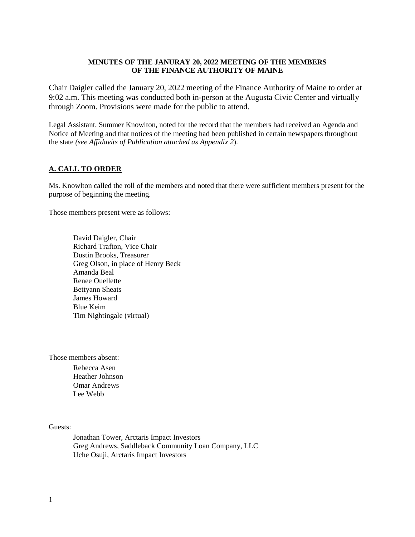#### **MINUTES OF THE JANURAY 20, 2022 MEETING OF THE MEMBERS OF THE FINANCE AUTHORITY OF MAINE**

Chair Daigler called the January 20, 2022 meeting of the Finance Authority of Maine to order at 9:02 a.m. This meeting was conducted both in-person at the Augusta Civic Center and virtually through Zoom. Provisions were made for the public to attend.

Legal Assistant, Summer Knowlton, noted for the record that the members had received an Agenda and Notice of Meeting and that notices of the meeting had been published in certain newspapers throughout the state *(see Affidavits of Publication attached as Appendix 2*).

## **A. CALL TO ORDER**

Ms. Knowlton called the roll of the members and noted that there were sufficient members present for the purpose of beginning the meeting.

Those members present were as follows:

David Daigler, Chair Richard Trafton, Vice Chair Dustin Brooks, Treasurer Greg Olson, in place of Henry Beck Amanda Beal Renee Ouellette Bettyann Sheats James Howard Blue Keim Tim Nightingale (virtual)

Those members absent:

Rebecca Asen Heather Johnson Omar Andrews Lee Webb

#### Guests:

Jonathan Tower, Arctaris Impact Investors Greg Andrews, Saddleback Community Loan Company, LLC Uche Osuji, Arctaris Impact Investors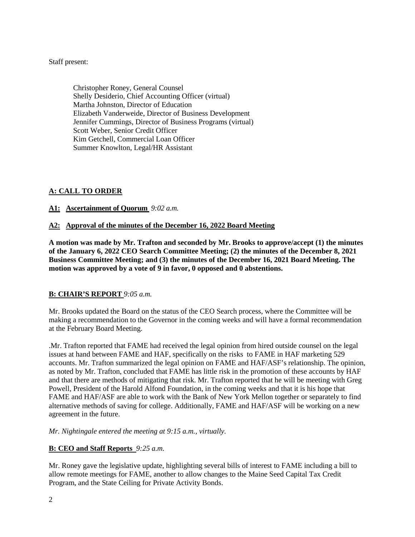Staff present:

Christopher Roney, General Counsel Shelly Desiderio, Chief Accounting Officer (virtual) Martha Johnston, Director of Education Elizabeth Vanderweide, Director of Business Development Jennifer Cummings, Director of Business Programs (virtual) Scott Weber, Senior Credit Officer Kim Getchell, Commercial Loan Officer Summer Knowlton, Legal/HR Assistant

# **A: CALL TO ORDER**

# **A1: Ascertainment of Quorum** *9:02 a.m.*

## **A2: Approval of the minutes of the December 16, 2022 Board Meeting**

**A motion was made by Mr. Trafton and seconded by Mr. Brooks to approve/accept (1) the minutes of the January 6, 2022 CEO Search Committee Meeting; (2) the minutes of the December 8, 2021 Business Committee Meeting; and (3) the minutes of the December 16, 2021 Board Meeting. The motion was approved by a vote of 9 in favor, 0 opposed and 0 abstentions.** 

# **B: CHAIR'S REPORT** *9:05 a.m.*

Mr. Brooks updated the Board on the status of the CEO Search process, where the Committee will be making a recommendation to the Governor in the coming weeks and will have a formal recommendation at the February Board Meeting.

.Mr. Trafton reported that FAME had received the legal opinion from hired outside counsel on the legal issues at hand between FAME and HAF, specifically on the risks to FAME in HAF marketing 529 accounts. Mr. Trafton summarized the legal opinion on FAME and HAF/ASF's relationship. The opinion, as noted by Mr. Trafton, concluded that FAME has little risk in the promotion of these accounts by HAF and that there are methods of mitigating that risk. Mr. Trafton reported that he will be meeting with Greg Powell, President of the Harold Alfond Foundation, in the coming weeks and that it is his hope that FAME and HAF/ASF are able to work with the Bank of New York Mellon together or separately to find alternative methods of saving for college. Additionally, FAME and HAF/ASF will be working on a new agreement in the future.

*Mr. Nightingale entered the meeting at 9:15 a.m., virtually.* 

#### **B: CEO and Staff Reports** *9:25 a.m.*

Mr. Roney gave the legislative update, highlighting several bills of interest to FAME including a bill to allow remote meetings for FAME, another to allow changes to the Maine Seed Capital Tax Credit Program, and the State Ceiling for Private Activity Bonds.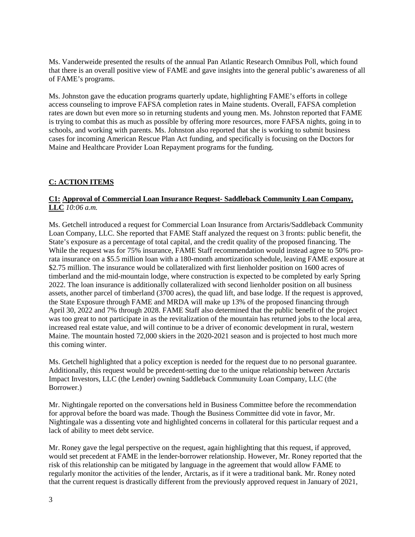Ms. Vanderweide presented the results of the annual Pan Atlantic Research Omnibus Poll, which found that there is an overall positive view of FAME and gave insights into the general public's awareness of all of FAME's programs.

Ms. Johnston gave the education programs quarterly update, highlighting FAME's efforts in college access counseling to improve FAFSA completion rates in Maine students. Overall, FAFSA completion rates are down but even more so in returning students and young men. Ms. Johnston reported that FAME is trying to combat this as much as possible by offering more resources, more FAFSA nights, going in to schools, and working with parents. Ms. Johnston also reported that she is working to submit business cases for incoming American Rescue Plan Act funding, and specifically is focusing on the Doctors for Maine and Healthcare Provider Loan Repayment programs for the funding.

# **C: ACTION ITEMS**

## **C1: Approval of Commercial Loan Insurance Request- Saddleback Community Loan Company, LLC** *10:06 a.m.*

Ms. Getchell introduced a request for Commercial Loan Insurance from Arctaris/Saddleback Community Loan Company, LLC. She reported that FAME Staff analyzed the request on 3 fronts: public benefit, the State's exposure as a percentage of total capital, and the credit quality of the proposed financing. The While the request was for 75% insurance, FAME Staff recommendation would instead agree to 50% prorata insurance on a \$5.5 million loan with a 180-month amortization schedule, leaving FAME exposure at \$2.75 million. The insurance would be collateralized with first lienholder position on 1600 acres of timberland and the mid-mountain lodge, where construction is expected to be completed by early Spring 2022. The loan insurance is additionally collateralized with second lienholder position on all business assets, another parcel of timberland (3700 acres), the quad lift, and base lodge. If the request is approved, the State Exposure through FAME and MRDA will make up 13% of the proposed financing through April 30, 2022 and 7% through 2028. FAME Staff also determined that the public benefit of the project was too great to not participate in as the revitalization of the mountain has returned jobs to the local area, increased real estate value, and will continue to be a driver of economic development in rural, western Maine. The mountain hosted 72,000 skiers in the 2020-2021 season and is projected to host much more this coming winter.

Ms. Getchell highlighted that a policy exception is needed for the request due to no personal guarantee. Additionally, this request would be precedent-setting due to the unique relationship between Arctaris Impact Investors, LLC (the Lender) owning Saddleback Communuity Loan Company, LLC (the Borrower.)

Mr. Nightingale reported on the conversations held in Business Committee before the recommendation for approval before the board was made. Though the Business Committee did vote in favor, Mr. Nightingale was a dissenting vote and highlighted concerns in collateral for this particular request and a lack of ability to meet debt service.

Mr. Roney gave the legal perspective on the request, again highlighting that this request, if approved, would set precedent at FAME in the lender-borrower relationship. However, Mr. Roney reported that the risk of this relationship can be mitigated by language in the agreement that would allow FAME to regularly monitor the activities of the lender, Arctaris, as if it were a traditional bank. Mr. Roney noted that the current request is drastically different from the previously approved request in January of 2021,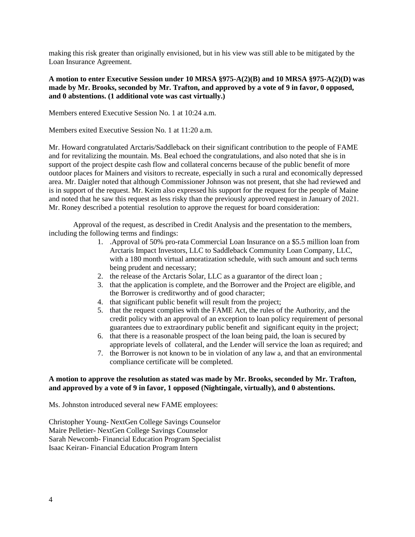making this risk greater than originally envisioned, but in his view was still able to be mitigated by the Loan Insurance Agreement.

### **A motion to enter Executive Session under 10 MRSA §975-A(2)(B) and 10 MRSA §975-A(2)(D) was made by Mr. Brooks, seconded by Mr. Trafton, and approved by a vote of 9 in favor, 0 opposed, and 0 abstentions. (1 additional vote was cast virtually.)**

Members entered Executive Session No. 1 at 10:24 a.m.

Members exited Executive Session No. 1 at 11:20 a.m.

Mr. Howard congratulated Arctaris/Saddleback on their significant contribution to the people of FAME and for revitalizing the mountain. Ms. Beal echoed the congratulations, and also noted that she is in support of the project despite cash flow and collateral concerns because of the public benefit of more outdoor places for Mainers and visitors to recreate, especially in such a rural and economically depressed area. Mr. Daigler noted that although Commissioner Johnson was not present, that she had reviewed and is in support of the request. Mr. Keim also expressed his support for the request for the people of Maine and noted that he saw this request as less risky than the previously approved request in January of 2021. Mr. Roney described a potential resolution to approve the request for board consideration:

Approval of the request, as described in Credit Analysis and the presentation to the members, including the following terms and findings:

- 1. .Approval of 50% pro-rata Commercial Loan Insurance on a \$5.5 million loan from Arctaris Impact Investors, LLC to Saddleback Community Loan Company, LLC, with a 180 month virtual amoratization schedule, with such amount and such terms being prudent and necessary;
- 2. the release of the Arctaris Solar, LLC as a guarantor of the direct loan ;
- 3. that the application is complete, and the Borrower and the Project are eligible, and the Borrower is creditworthy and of good character;
- 4. that significant public benefit will result from the project;
- 5. that the request complies with the FAME Act, the rules of the Authority, and the credit policy with an approval of an exception to loan policy requirement of personal guarantees due to extraordinary public benefit and significant equity in the project;
- 6. that there is a reasonable prospect of the loan being paid, the loan is secured by appropriate levels of collateral, and the Lender will service the loan as required; and
- 7. the Borrower is not known to be in violation of any law a, and that an environmental compliance certificate will be completed.

#### **A motion to approve the resolution as stated was made by Mr. Brooks, seconded by Mr. Trafton, and approved by a vote of 9 in favor, 1 opposed (Nightingale, virtually), and 0 abstentions.**

Ms. Johnston introduced several new FAME employees:

Christopher Young- NextGen College Savings Counselor Maire Pelletier- NextGen College Savings Counselor Sarah Newcomb- Financial Education Program Specialist Isaac Keiran- Financial Education Program Intern